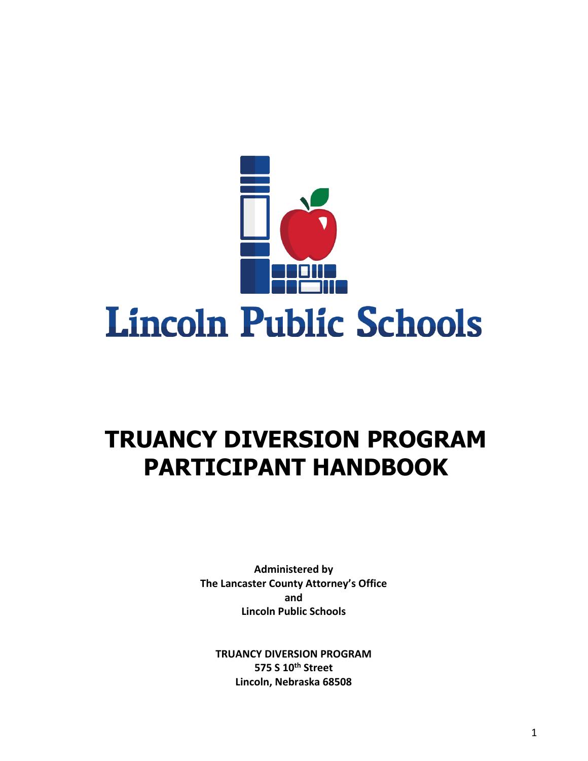

# **TRUANCY DIVERSION PROGRAM PARTICIPANT HANDBOOK**

**Administered by The Lancaster County Attorney's Office and Lincoln Public Schools** 

**TRUANCY DIVERSION PROGRAM 575 S 10th Street Lincoln, Nebraska 68508**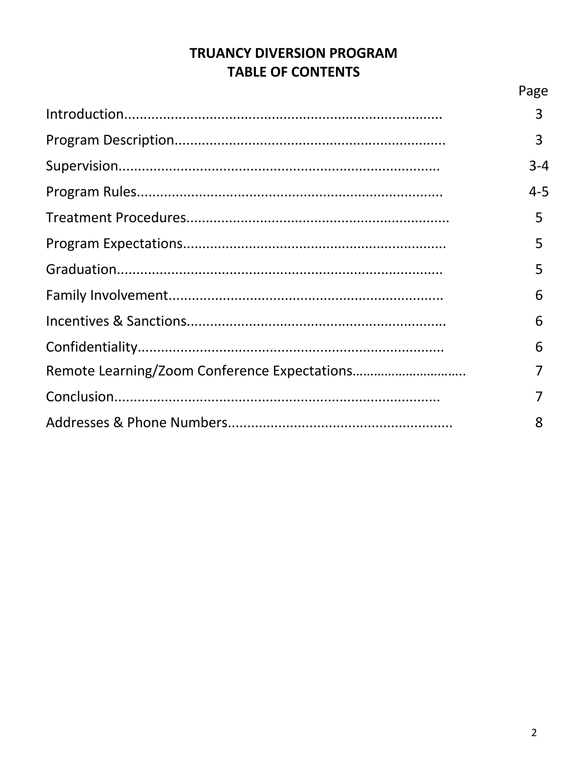# **TRUANCY DIVERSION PROGRAM TABLE OF CONTENTS**

| Page    |
|---------|
| 3       |
| 3       |
| $3 - 4$ |
| $4 - 5$ |
| 5       |
| 5       |
| 5       |
| 6       |
| 6       |
| 6       |
|         |
|         |
| 8       |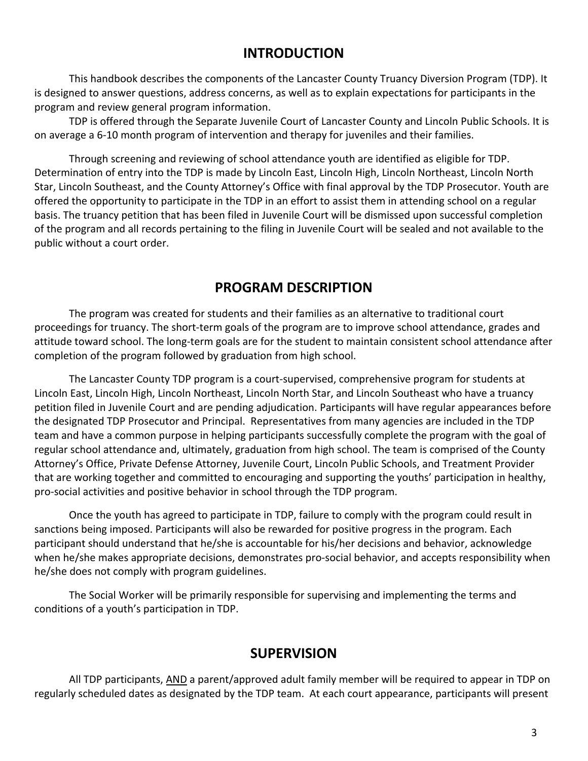## **INTRODUCTION**

This handbook describes the components of the Lancaster County Truancy Diversion Program (TDP). It is designed to answer questions, address concerns, as well as to explain expectations for participants in the program and review general program information.

TDP is offered through the Separate Juvenile Court of Lancaster County and Lincoln Public Schools. It is on average a 6-10 month program of intervention and therapy for juveniles and their families.

Through screening and reviewing of school attendance youth are identified as eligible for TDP. Determination of entry into the TDP is made by Lincoln East, Lincoln High, Lincoln Northeast, Lincoln North Star, Lincoln Southeast, and the County Attorney's Office with final approval by the TDP Prosecutor. Youth are offered the opportunity to participate in the TDP in an effort to assist them in attending school on a regular basis. The truancy petition that has been filed in Juvenile Court will be dismissed upon successful completion of the program and all records pertaining to the filing in Juvenile Court will be sealed and not available to the public without a court order.

# **PROGRAM DESCRIPTION**

The program was created for students and their families as an alternative to traditional court proceedings for truancy. The short-term goals of the program are to improve school attendance, grades and attitude toward school. The long-term goals are for the student to maintain consistent school attendance after completion of the program followed by graduation from high school.

The Lancaster County TDP program is a court-supervised, comprehensive program for students at Lincoln East, Lincoln High, Lincoln Northeast, Lincoln North Star, and Lincoln Southeast who have a truancy petition filed in Juvenile Court and are pending adjudication. Participants will have regular appearances before the designated TDP Prosecutor and Principal. Representatives from many agencies are included in the TDP team and have a common purpose in helping participants successfully complete the program with the goal of regular school attendance and, ultimately, graduation from high school. The team is comprised of the County Attorney's Office, Private Defense Attorney, Juvenile Court, Lincoln Public Schools, and Treatment Provider that are working together and committed to encouraging and supporting the youths' participation in healthy, pro-social activities and positive behavior in school through the TDP program.

Once the youth has agreed to participate in TDP, failure to comply with the program could result in sanctions being imposed. Participants will also be rewarded for positive progress in the program. Each participant should understand that he/she is accountable for his/her decisions and behavior, acknowledge when he/she makes appropriate decisions, demonstrates pro-social behavior, and accepts responsibility when he/she does not comply with program guidelines.

The Social Worker will be primarily responsible for supervising and implementing the terms and conditions of a youth's participation in TDP.

# **SUPERVISION**

All TDP participants, AND a parent/approved adult family member will be required to appear in TDP on regularly scheduled dates as designated by the TDP team. At each court appearance, participants will present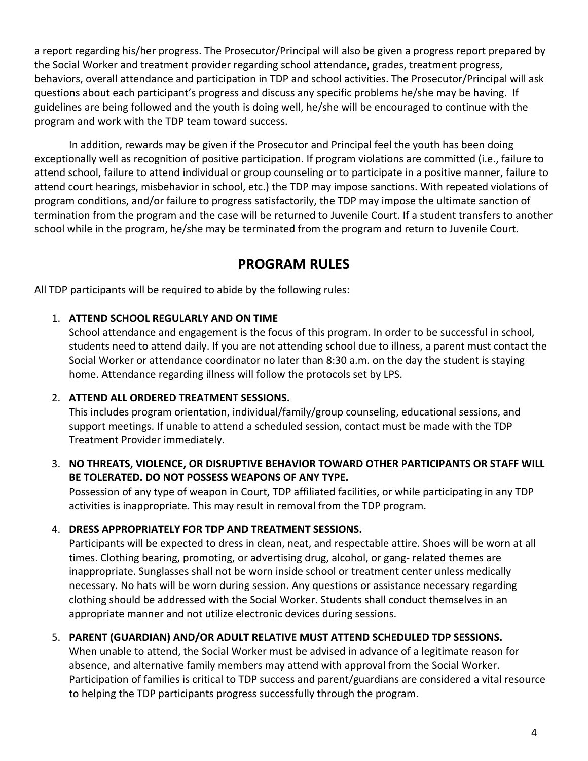a report regarding his/her progress. The Prosecutor/Principal will also be given a progress report prepared by the Social Worker and treatment provider regarding school attendance, grades, treatment progress, behaviors, overall attendance and participation in TDP and school activities. The Prosecutor/Principal will ask questions about each participant's progress and discuss any specific problems he/she may be having. If guidelines are being followed and the youth is doing well, he/she will be encouraged to continue with the program and work with the TDP team toward success.

In addition, rewards may be given if the Prosecutor and Principal feel the youth has been doing exceptionally well as recognition of positive participation. If program violations are committed (i.e., failure to attend school, failure to attend individual or group counseling or to participate in a positive manner, failure to attend court hearings, misbehavior in school, etc.) the TDP may impose sanctions. With repeated violations of program conditions, and/or failure to progress satisfactorily, the TDP may impose the ultimate sanction of termination from the program and the case will be returned to Juvenile Court. If a student transfers to another school while in the program, he/she may be terminated from the program and return to Juvenile Court.

# **PROGRAM RULES**

All TDP participants will be required to abide by the following rules:

## 1. **ATTEND SCHOOL REGULARLY AND ON TIME**

School attendance and engagement is the focus of this program. In order to be successful in school, students need to attend daily. If you are not attending school due to illness, a parent must contact the Social Worker or attendance coordinator no later than 8:30 a.m. on the day the student is staying home. Attendance regarding illness will follow the protocols set by LPS.

## 2. **ATTEND ALL ORDERED TREATMENT SESSIONS.**

This includes program orientation, individual/family/group counseling, educational sessions, and support meetings. If unable to attend a scheduled session, contact must be made with the TDP Treatment Provider immediately.

## 3. **NO THREATS, VIOLENCE, OR DISRUPTIVE BEHAVIOR TOWARD OTHER PARTICIPANTS OR STAFF WILL BE TOLERATED. DO NOT POSSESS WEAPONS OF ANY TYPE.**

Possession of any type of weapon in Court, TDP affiliated facilities, or while participating in any TDP activities is inappropriate. This may result in removal from the TDP program.

## 4. **DRESS APPROPRIATELY FOR TDP AND TREATMENT SESSIONS.**

Participants will be expected to dress in clean, neat, and respectable attire. Shoes will be worn at all times. Clothing bearing, promoting, or advertising drug, alcohol, or gang- related themes are inappropriate. Sunglasses shall not be worn inside school or treatment center unless medically necessary. No hats will be worn during session. Any questions or assistance necessary regarding clothing should be addressed with the Social Worker. Students shall conduct themselves in an appropriate manner and not utilize electronic devices during sessions.

## 5. **PARENT (GUARDIAN) AND/OR ADULT RELATIVE MUST ATTEND SCHEDULED TDP SESSIONS.**

When unable to attend, the Social Worker must be advised in advance of a legitimate reason for absence, and alternative family members may attend with approval from the Social Worker. Participation of families is critical to TDP success and parent/guardians are considered a vital resource to helping the TDP participants progress successfully through the program.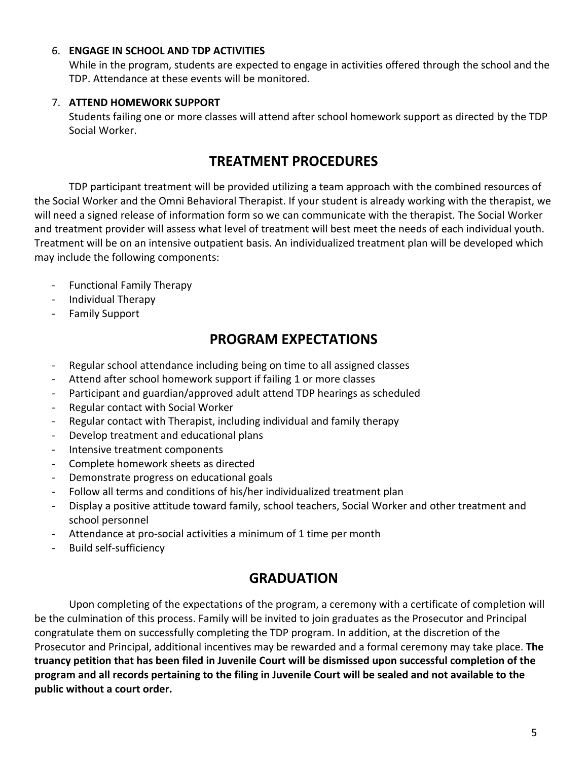#### 6. **ENGAGE IN SCHOOL AND TDP ACTIVITIES**

While in the program, students are expected to engage in activities offered through the school and the TDP. Attendance at these events will be monitored.

#### 7. **ATTEND HOMEWORK SUPPORT**

Students failing one or more classes will attend after school homework support as directed by the TDP Social Worker.

## **TREATMENT PROCEDURES**

TDP participant treatment will be provided utilizing a team approach with the combined resources of the Social Worker and the Omni Behavioral Therapist. If your student is already working with the therapist, we will need a signed release of information form so we can communicate with the therapist. The Social Worker and treatment provider will assess what level of treatment will best meet the needs of each individual youth. Treatment will be on an intensive outpatient basis. An individualized treatment plan will be developed which may include the following components:

- Functional Family Therapy
- Individual Therapy
- Family Support

## **PROGRAM EXPECTATIONS**

- Regular school attendance including being on time to all assigned classes
- Attend after school homework support if failing 1 or more classes
- Participant and guardian/approved adult attend TDP hearings as scheduled
- Regular contact with Social Worker
- Regular contact with Therapist, including individual and family therapy
- Develop treatment and educational plans
- Intensive treatment components
- Complete homework sheets as directed
- Demonstrate progress on educational goals
- Follow all terms and conditions of his/her individualized treatment plan
- Display a positive attitude toward family, school teachers, Social Worker and other treatment and school personnel
- Attendance at pro-social activities a minimum of 1 time per month
- Build self-sufficiency

## **GRADUATION**

Upon completing of the expectations of the program, a ceremony with a certificate of completion will be the culmination of this process. Family will be invited to join graduates as the Prosecutor and Principal congratulate them on successfully completing the TDP program. In addition, at the discretion of the Prosecutor and Principal, additional incentives may be rewarded and a formal ceremony may take place. **The truancy petition that has been filed in Juvenile Court will be dismissed upon successful completion of the program and all records pertaining to the filing in Juvenile Court will be sealed and not available to the public without a court order.**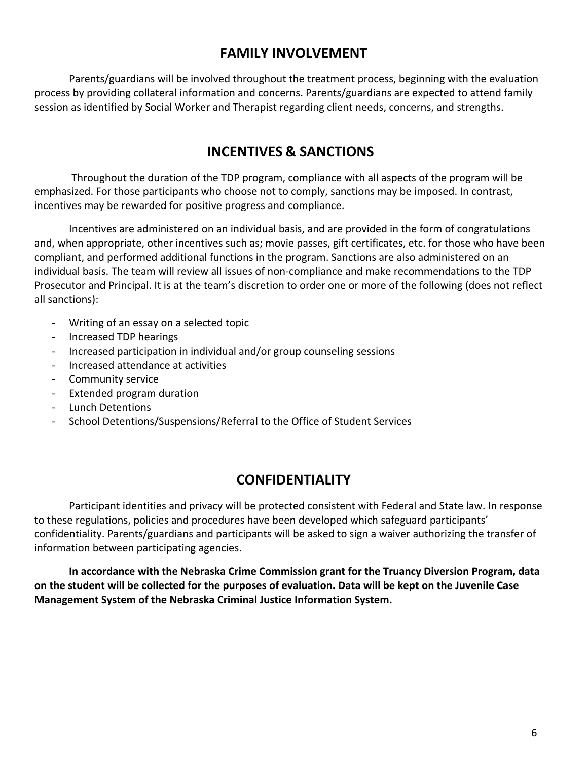## **FAMILY INVOLVEMENT**

Parents/guardians will be involved throughout the treatment process, beginning with the evaluation process by providing collateral information and concerns. Parents/guardians are expected to attend family session as identified by Social Worker and Therapist regarding client needs, concerns, and strengths.

# **INCENTIVES & SANCTIONS**

Throughout the duration of the TDP program, compliance with all aspects of the program will be emphasized. For those participants who choose not to comply, sanctions may be imposed. In contrast, incentives may be rewarded for positive progress and compliance.

Incentives are administered on an individual basis, and are provided in the form of congratulations and, when appropriate, other incentives such as; movie passes, gift certificates, etc. for those who have been compliant, and performed additional functions in the program. Sanctions are also administered on an individual basis. The team will review all issues of non-compliance and make recommendations to the TDP Prosecutor and Principal. It is at the team's discretion to order one or more of the following (does not reflect all sanctions):

- Writing of an essay on a selected topic
- Increased TDP hearings
- Increased participation in individual and/or group counseling sessions
- Increased attendance at activities
- Community service
- Extended program duration
- Lunch Detentions
- School Detentions/Suspensions/Referral to the Office of Student Services

# **CONFIDENTIALITY**

Participant identities and privacy will be protected consistent with Federal and State law. In response to these regulations, policies and procedures have been developed which safeguard participants' confidentiality. Parents/guardians and participants will be asked to sign a waiver authorizing the transfer of information between participating agencies.

**In accordance with the Nebraska Crime Commission grant for the Truancy Diversion Program, data on the student will be collected for the purposes of evaluation. Data will be kept on the Juvenile Case Management System of the Nebraska Criminal Justice Information System.**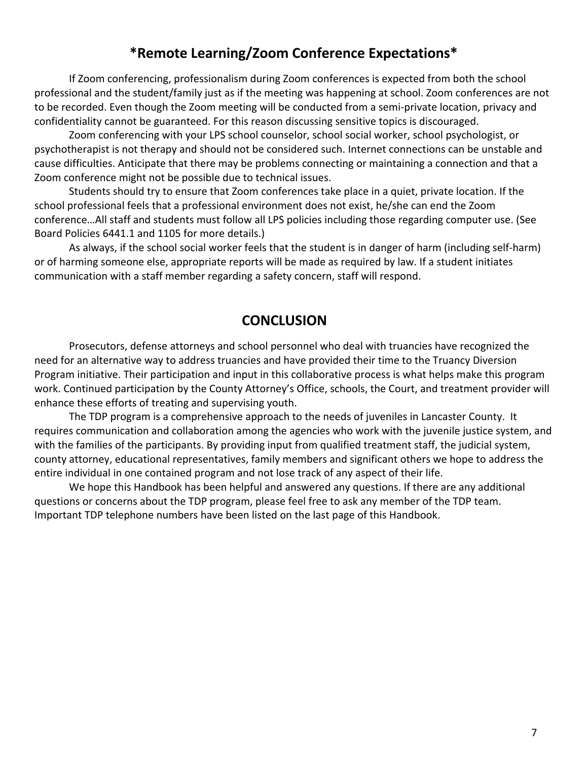## **\*Remote Learning/Zoom Conference Expectations\***

If Zoom conferencing, professionalism during Zoom conferences is expected from both the school professional and the student/family just as if the meeting was happening at school. Zoom conferences are not to be recorded. Even though the Zoom meeting will be conducted from a semi-private location, privacy and confidentiality cannot be guaranteed. For this reason discussing sensitive topics is discouraged.

Zoom conferencing with your LPS school counselor, school social worker, school psychologist, or psychotherapist is not therapy and should not be considered such. Internet connections can be unstable and cause difficulties. Anticipate that there may be problems connecting or maintaining a connection and that a Zoom conference might not be possible due to technical issues.

Students should try to ensure that Zoom conferences take place in a quiet, private location. If the school professional feels that a professional environment does not exist, he/she can end the Zoom conference…All staff and students must follow all LPS policies including those regarding computer use. (See Board Policies 6441.1 and 1105 for more details.)

As always, if the school social worker feels that the student is in danger of harm (including self-harm) or of harming someone else, appropriate reports will be made as required by law. If a student initiates communication with a staff member regarding a safety concern, staff will respond.

## **CONCLUSION**

Prosecutors, defense attorneys and school personnel who deal with truancies have recognized the need for an alternative way to address truancies and have provided their time to the Truancy Diversion Program initiative. Their participation and input in this collaborative process is what helps make this program work. Continued participation by the County Attorney's Office, schools, the Court, and treatment provider will enhance these efforts of treating and supervising youth.

The TDP program is a comprehensive approach to the needs of juveniles in Lancaster County. It requires communication and collaboration among the agencies who work with the juvenile justice system, and with the families of the participants. By providing input from qualified treatment staff, the judicial system, county attorney, educational representatives, family members and significant others we hope to address the entire individual in one contained program and not lose track of any aspect of their life.

We hope this Handbook has been helpful and answered any questions. If there are any additional questions or concerns about the TDP program, please feel free to ask any member of the TDP team. Important TDP telephone numbers have been listed on the last page of this Handbook.